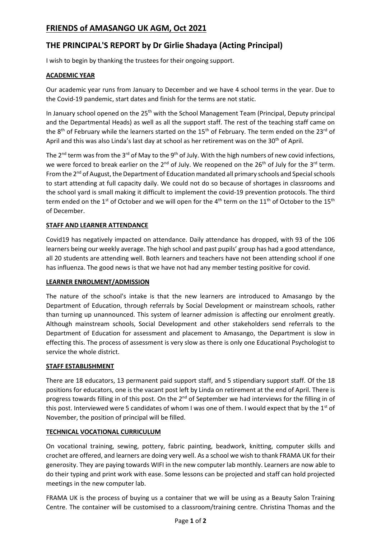# **FRIENDS of AMASANGO UK AGM, Oct 2021**

# **THE PRINCIPAL'S REPORT by Dr Girlie Shadaya (Acting Principal)**

I wish to begin by thanking the trustees for their ongoing support.

## **ACADEMIC YEAR**

Our academic year runs from January to December and we have 4 school terms in the year. Due to the Covid-19 pandemic, start dates and finish for the terms are not static.

In January school opened on the 25<sup>th</sup> with the School Management Team (Principal, Deputy principal and the Departmental Heads) as well as all the support staff. The rest of the teaching staff came on the 8<sup>th</sup> of February while the learners started on the 15<sup>th</sup> of February. The term ended on the 23<sup>rd</sup> of April and this was also Linda's last day at school as her retirement was on the  $30<sup>th</sup>$  of April.

The  $2^{nd}$  term was from the  $3^{rd}$  of May to the  $9^{th}$  of July. With the high numbers of new covid infections, we were forced to break earlier on the  $2^{nd}$  of July. We reopened on the  $26^{th}$  of July for the  $3^{rd}$  term. From the 2<sup>nd</sup> of August, the Department of Education mandated all primary schools and Special schools to start attending at full capacity daily. We could not do so because of shortages in classrooms and the school yard is small making it difficult to implement the covid-19 prevention protocols. The third term ended on the 1<sup>st</sup> of October and we will open for the 4<sup>th</sup> term on the 11<sup>th</sup> of October to the 15<sup>th</sup> of December.

## **STAFF AND LEARNER ATTENDANCE**

Covid19 has negatively impacted on attendance. Daily attendance has dropped, with 93 of the 106 learners being our weekly average. The high school and past pupils' group has had a good attendance, all 20 students are attending well. Both learners and teachers have not been attending school if one has influenza. The good news is that we have not had any member testing positive for covid.

## **LEARNER ENROLMENT/ADMISSION**

The nature of the school's intake is that the new learners are introduced to Amasango by the Department of Education, through referrals by Social Development or mainstream schools, rather than turning up unannounced. This system of learner admission is affecting our enrolment greatly. Although mainstream schools, Social Development and other stakeholders send referrals to the Department of Education for assessment and placement to Amasango, the Department is slow in effecting this. The process of assessment is very slow as there is only one Educational Psychologist to service the whole district.

## **STAFF ESTABLISHMENT**

There are 18 educators, 13 permanent paid support staff, and 5 stipendiary support staff. Of the 18 positions for educators, one is the vacant post left by Linda on retirement at the end of April. There is progress towards filling in of this post. On the 2<sup>nd</sup> of September we had interviews for the filling in of this post. Interviewed were 5 candidates of whom I was one of them. I would expect that by the 1<sup>st</sup> of November, the position of principal will be filled.

## **TECHNICAL VOCATIONAL CURRICULUM**

On vocational training, sewing, pottery, fabric painting, beadwork, knitting, computer skills and crochet are offered, and learners are doing very well. As a school we wish to thank FRAMA UK for their generosity. They are paying towards WIFI in the new computer lab monthly. Learners are now able to do their typing and print work with ease. Some lessons can be projected and staff can hold projected meetings in the new computer lab.

FRAMA UK is the process of buying us a container that we will be using as a Beauty Salon Training Centre. The container will be customised to a classroom/training centre. Christina Thomas and the